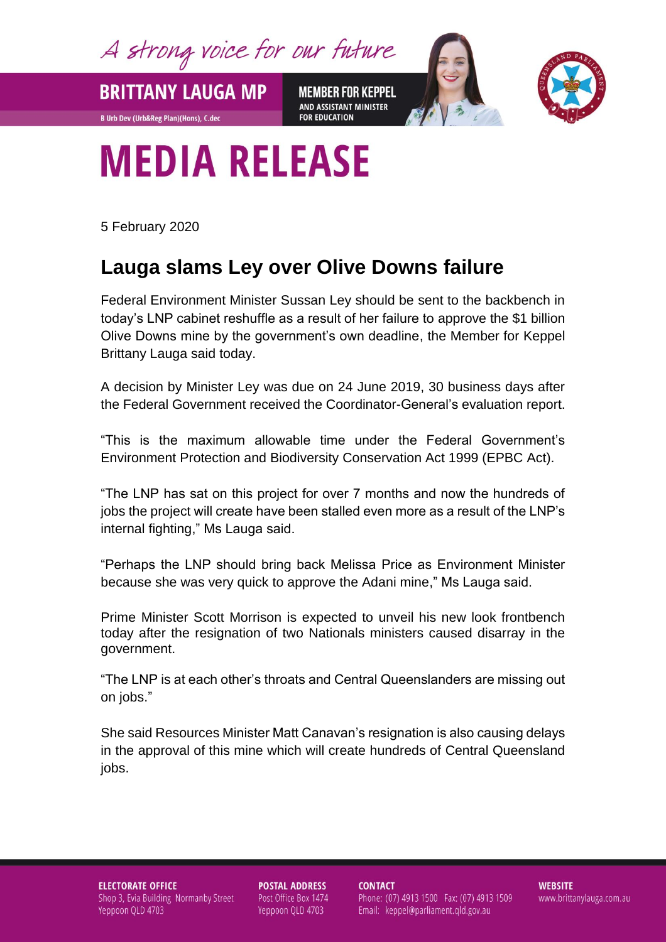A strong voice for our future

**MEMBER FOR KEPPEL** AND ASSISTANT MINISTER **FOR EDUCATION** 



## **MEDIA RELEASE**

5 February 2020

**BRITTANY LAUGA MP** 

**B Urb Dev (Urb&Reg Plan)(Hons), C.dec** 

## **Lauga slams Ley over Olive Downs failure**

Federal Environment Minister Sussan Ley should be sent to the backbench in today's LNP cabinet reshuffle as a result of her failure to approve the \$1 billion Olive Downs mine by the government's own deadline, the Member for Keppel Brittany Lauga said today.

A decision by Minister Ley was due on 24 June 2019, 30 business days after the Federal Government received the Coordinator-General's evaluation report.

"This is the maximum allowable time under the Federal Government's Environment Protection and Biodiversity Conservation Act 1999 (EPBC Act).

"The LNP has sat on this project for over 7 months and now the hundreds of jobs the project will create have been stalled even more as a result of the LNP's internal fighting," Ms Lauga said.

"Perhaps the LNP should bring back Melissa Price as Environment Minister because she was very quick to approve the Adani mine," Ms Lauga said.

Prime Minister Scott Morrison is expected to unveil his new look frontbench today after the resignation of two Nationals ministers caused disarray in the government.

"The LNP is at each other's throats and Central Queenslanders are missing out on jobs."

She said Resources Minister Matt Canavan's resignation is also causing delays in the approval of this mine which will create hundreds of Central Queensland jobs.

**ELECTORATE OFFICE** Shop 3, Evia Building Normanby Street Yeppoon QLD 4703

**POSTAL ADDRESS** Post Office Box 1474 Yeppoon QLD 4703

**CONTACT** Phone: (07) 4913 1500 Fax: (07) 4913 1509 Email: keppel@parliament.qld.gov.au

**WEBSITE** www.brittanylauga.com.au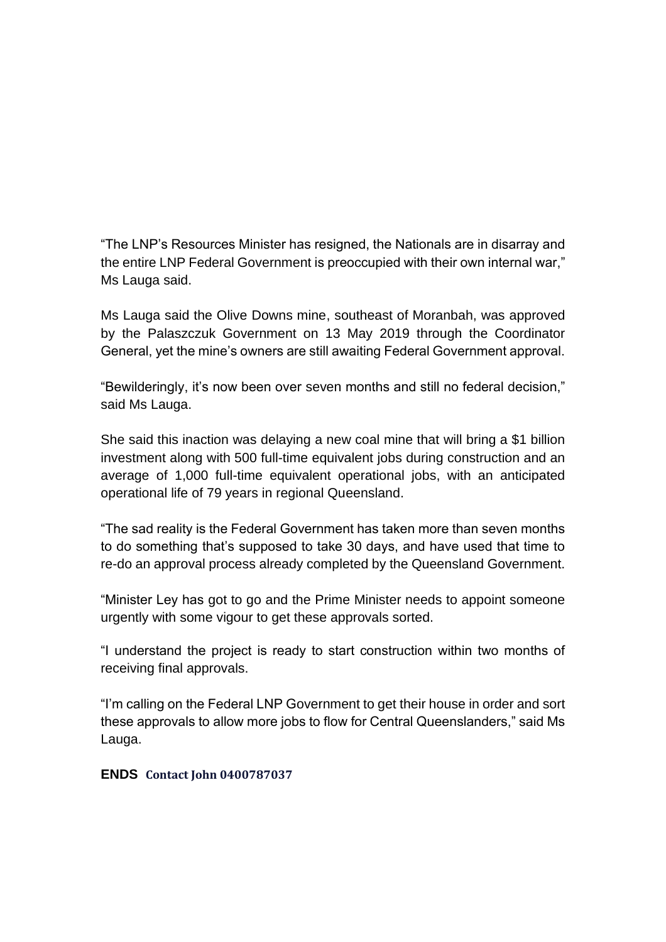"The LNP's Resources Minister has resigned, the Nationals are in disarray and the entire LNP Federal Government is preoccupied with their own internal war," Ms Lauga said.

Ms Lauga said the Olive Downs mine, southeast of Moranbah, was approved by the Palaszczuk Government on 13 May 2019 through the Coordinator General, yet the mine's owners are still awaiting Federal Government approval.

"Bewilderingly, it's now been over seven months and still no federal decision," said Ms Lauga.

She said this inaction was delaying a new coal mine that will bring a \$1 billion investment along with 500 full-time equivalent jobs during construction and an average of 1,000 full-time equivalent operational jobs, with an anticipated operational life of 79 years in regional Queensland.

"The sad reality is the Federal Government has taken more than seven months to do something that's supposed to take 30 days, and have used that time to re-do an approval process already completed by the Queensland Government.

"Minister Ley has got to go and the Prime Minister needs to appoint someone urgently with some vigour to get these approvals sorted.

"I understand the project is ready to start construction within two months of receiving final approvals.

"I'm calling on the Federal LNP Government to get their house in order and sort these approvals to allow more jobs to flow for Central Queenslanders," said Ms Lauga.

## **ENDS Contact John 0400787037**